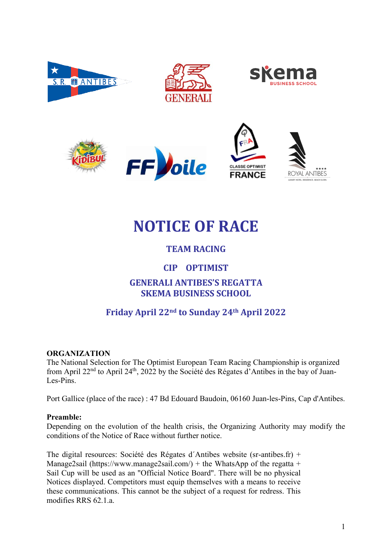













# **NOTICE OF RACE**

# **TEAM RACING**

# **CIP OPTIMIST**

# **GENERALI ANTIBES'S REGATTA SKEMA BUSINESS SCHOOL**

# **Friday April 22nd to Sunday 24th April 2022**

### **ORGANIZATION**

The National Selection for The Optimist European Team Racing Championship is organized from April 22nd to April 24th, 2022 by the Société des Régates d'Antibes in the bay of Juan-Les-Pins.

Port Gallice (place of the race) : 47 Bd Edouard Baudoin, 06160 Juan-les-Pins, Cap d'Antibes.

#### **Preamble:**

Depending on the evolution of the health crisis, the Organizing Authority may modify the conditions of the Notice of Race without further notice.

The digital resources: Société des Régates d´Antibes website (sr-antibes.fr) + Manage2sail (https://www.manage2sail.com/) + the WhatsApp of the regatta + Sail Cup will be used as an "Official Notice Board". There will be no physical Notices displayed. Competitors must equip themselves with a means to receive these communications. This cannot be the subject of a request for redress. This modifies RRS 62.1.a.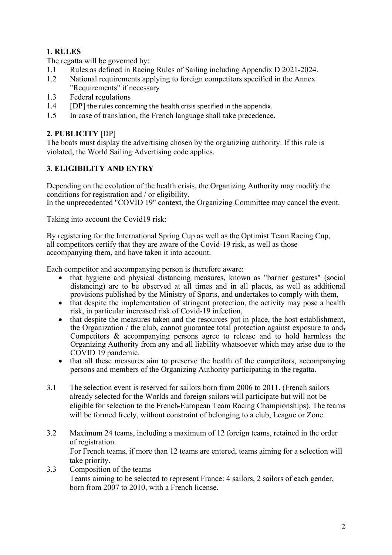## **1. RULES**

The regatta will be governed by:

- 1.1 Rules as defined in Racing Rules of Sailing including Appendix D 2021-2024.
- 1.2 National requirements applying to foreign competitors specified in the Annex "Requirements" if necessary
- 1.3 Federal regulations
- 1.4 **[DP]** the rules concerning the health crisis specified in the appendix.
- 1.5 In case of translation, the French language shall take precedence.

### **2. PUBLICITY** [DP]

The boats must display the advertising chosen by the organizing authority. If this rule is violated, the World Sailing Advertising code applies.

### **3. ELIGIBILITY AND ENTRY**

Depending on the evolution of the health crisis, the Organizing Authority may modify the conditions for registration and / or eligibility. In the unprecedented "COVID 19" context, the Organizing Committee may cancel the event.

Taking into account the Covid19 risk:

By registering for the International Spring Cup as well as the Optimist Team Racing Cup, all competitors certify that they are aware of the Covid-19 risk, as well as those accompanying them, and have taken it into account.

Each competitor and accompanying person is therefore aware:

- that hygiene and physical distancing measures, known as "barrier gestures" (social distancing) are to be observed at all times and in all places, as well as additional provisions published by the Ministry of Sports, and undertakes to comply with them,
- that despite the implementation of stringent protection, the activity may pose a health risk, in particular increased risk of Covid-19 infection,
- that despite the measures taken and the resources put in place, the host establishment, the Organization / the club, cannot guarantee total protection against exposure to and, Competitors & accompanying persons agree to release and to hold harmless the Organizing Authority from any and all liability whatsoever which may arise due to the COVID 19 pandemic.
- that all these measures aim to preserve the health of the competitors, accompanying persons and members of the Organizing Authority participating in the regatta.
- 3.1 The selection event is reserved for sailors born from 2006 to 2011. (French sailors already selected for the Worlds and foreign sailors will participate but will not be eligible for selection to the French European Team Racing Championships). The teams will be formed freely, without constraint of belonging to a club, League or Zone.
- 3.2 Maximum 24 teams, including a maximum of 12 foreign teams, retained in the order of registration.

For French teams, if more than 12 teams are entered, teams aiming for a selection will take priority.

3.3 Composition of the teams Teams aiming to be selected to represent France: 4 sailors, 2 sailors of each gender, born from 2007 to 2010, with a French license.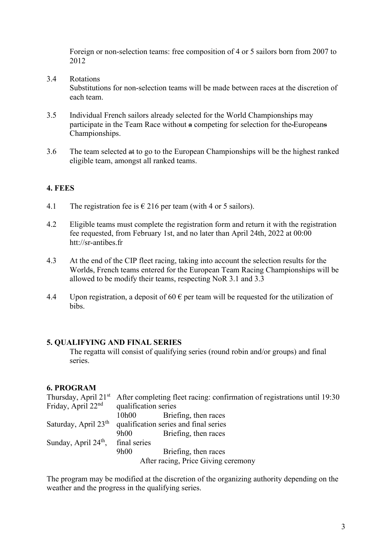Foreign or non-selection teams: free composition of 4 or 5 sailors born from 2007 to 2012

3.4 Rotations

Substitutions for non-selection teams will be made between races at the discretion of each team.

- 3.5 Individual French sailors already selected for the World Championships may participate in the Team Race without a competing for selection for the Europeans Championships.
- 3.6 The team selected at to go to the European Championships will be the highest ranked eligible team, amongst all ranked teams.

#### **4. FEES**

- 4.1 The registration fee is  $\epsilon$  216 per team (with 4 or 5 sailors).
- 4.2 Eligible teams must complete the registration form and return it with the registration fee requested, from February 1st, and no later than April 24th, 2022 at 00:00 htt://sr-antibes.fr
- 4.3 At the end of the CIP fleet racing, taking into account the selection results for the Worlds, French teams entered for the European Team Racing Championships will be allowed to be modify their teams, respecting NoR 3.1 and 3.3
- 4.4 Upon registration, a deposit of 60  $\epsilon$  per team will be requested for the utilization of bibs.

#### **5. QUALIFYING AND FINAL SERIES**

The regatta will consist of qualifying series (round robin and/or groups) and final series.

#### **6. PROGRAM**

|                                     | Thursday, April 21 <sup>st</sup> After completing fleet racing: confirmation of registrations until 19:30 |                      |
|-------------------------------------|-----------------------------------------------------------------------------------------------------------|----------------------|
| Friday, April 22 <sup>nd</sup>      | qualification series                                                                                      |                      |
|                                     | 10h00                                                                                                     | Briefing, then races |
| Saturday, April $23th$              | qualification series and final series                                                                     |                      |
|                                     | 9h00                                                                                                      | Briefing, then races |
| Sunday, April $24th$ ,              | final series                                                                                              |                      |
|                                     | 9h00                                                                                                      | Briefing, then races |
| After racing, Price Giving ceremony |                                                                                                           |                      |

The program may be modified at the discretion of the organizing authority depending on the weather and the progress in the qualifying series.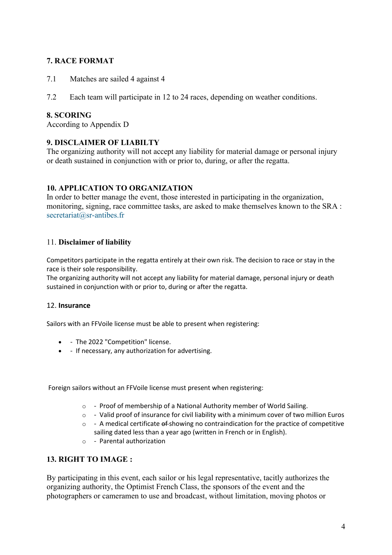#### **7. RACE FORMAT**

- 7.1 Matches are sailed 4 against 4
- 7.2 Each team will participate in 12 to 24 races, depending on weather conditions.

#### **8. SCORING**

According to Appendix D

#### **9. DISCLAIMER OF LIABILTY**

The organizing authority will not accept any liability for material damage or personal injury or death sustained in conjunction with or prior to, during, or after the regatta.

#### **10. APPLICATION TO ORGANIZATION**

In order to better manage the event, those interested in participating in the organization, monitoring, signing, race committee tasks, are asked to make themselves known to the SRA : secretariat@sr-antibes.fr

#### 11. **Disclaimer of liability**

Competitors participate in the regatta entirely at their own risk. The decision to race or stay in the race is their sole responsibility.

The organizing authority will not accept any liability for material damage, personal injury or death sustained in conjunction with or prior to, during or after the regatta.

#### 12. **Insurance**

Sailors with an FFVoile license must be able to present when registering:

- - The 2022 "Competition" license.
- - If necessary, any authorization for advertising.

Foreign sailors without an FFVoile license must present when registering:

- o Proof of membership of a National Authority member of World Sailing.
- $\circ$  Valid proof of insurance for civil liability with a minimum cover of two million Euros
- $\circ$  A medical certificate  $\theta$  -showing no contraindication for the practice of competitive sailing dated less than a year ago (written in French or in English).
- o Parental authorization

#### **13. RIGHT TO IMAGE :**

By participating in this event, each sailor or his legal representative, tacitly authorizes the organizing authority, the Optimist French Class, the sponsors of the event and the photographers or cameramen to use and broadcast, without limitation, moving photos or